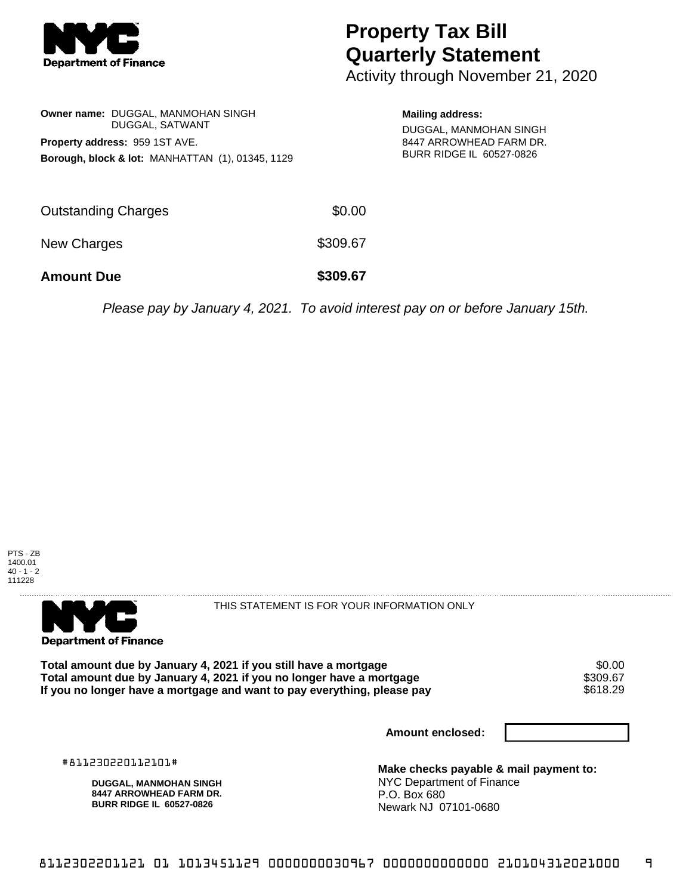

## **Property Tax Bill Quarterly Statement**

Activity through November 21, 2020

|                                                             | Owner name: DUGGAL, MANMOHAN SINGH<br>DUGGAL, SATWANT |  |  |  |
|-------------------------------------------------------------|-------------------------------------------------------|--|--|--|
| <b>Property address: 959 1ST AVE.</b>                       |                                                       |  |  |  |
| <b>Borough, block &amp; lot: MANHATTAN (1), 01345, 1129</b> |                                                       |  |  |  |

**Mailing address:**

DUGGAL, MANMOHAN SINGH 8447 ARROWHEAD FARM DR. BURR RIDGE IL 60527-0826

| <b>Amount Due</b>   | \$309.67 |
|---------------------|----------|
| New Charges         | \$309.67 |
| Outstanding Charges | \$0.00   |

Please pay by January 4, 2021. To avoid interest pay on or before January 15th.





THIS STATEMENT IS FOR YOUR INFORMATION ONLY

**Total amount due by January 4, 2021 if you still have a mortgage**  $$0.00$ **<br>Total amount due by January 4, 2021 if you no longer have a mortgage**  $$309.67$ **Total amount due by January 4, 2021 if you no longer have a mortgage \$309.67<br>If you no longer have a mortgage and want to pay everything, please pay \$618.29** If you no longer have a mortgage and want to pay everything, please pay

**Amount enclosed:**

#811230220112101#

**DUGGAL, MANMOHAN SINGH 8447 ARROWHEAD FARM DR. BURR RIDGE IL 60527-0826**

**Make checks payable & mail payment to:** NYC Department of Finance P.O. Box 680 Newark NJ 07101-0680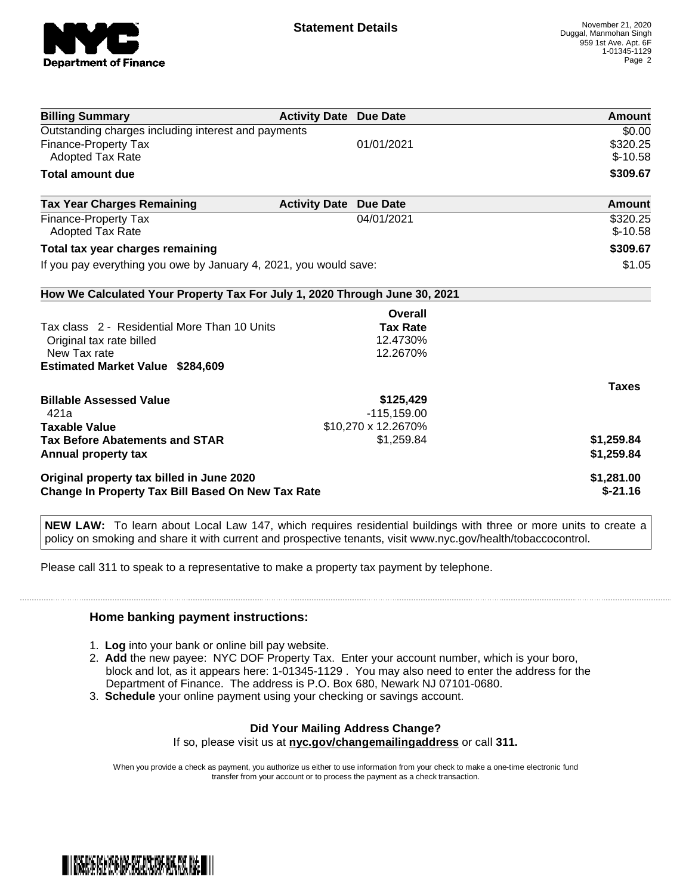

| <b>Billing Summary</b>                                                     | <b>Activity Date Due Date</b> | Amount       |
|----------------------------------------------------------------------------|-------------------------------|--------------|
| Outstanding charges including interest and payments                        |                               | \$0.00       |
| Finance-Property Tax                                                       | 01/01/2021                    | \$320.25     |
| Adopted Tax Rate                                                           |                               | $$-10.58$    |
| <b>Total amount due</b>                                                    |                               | \$309.67     |
| <b>Tax Year Charges Remaining</b>                                          | <b>Activity Date Due Date</b> | Amount       |
| Finance-Property Tax                                                       | 04/01/2021                    | \$320.25     |
| <b>Adopted Tax Rate</b>                                                    |                               | $$-10.58$    |
| Total tax year charges remaining                                           | \$309.67                      |              |
| If you pay everything you owe by January 4, 2021, you would save:          | \$1.05                        |              |
| How We Calculated Your Property Tax For July 1, 2020 Through June 30, 2021 |                               |              |
|                                                                            | Overall                       |              |
| Tax class 2 - Residential More Than 10 Units                               | <b>Tax Rate</b>               |              |
| Original tax rate billed                                                   | 12.4730%                      |              |
| New Tax rate                                                               | 12.2670%                      |              |
| <b>Estimated Market Value \$284,609</b>                                    |                               |              |
|                                                                            |                               | <b>Taxes</b> |
| <b>Billable Assessed Value</b>                                             | \$125,429                     |              |
| 421a                                                                       | $-115, 159.00$                |              |
| <b>Taxable Value</b>                                                       | \$10,270 x 12.2670%           |              |
| <b>Tax Before Abatements and STAR</b>                                      | \$1,259.84                    | \$1,259.84   |
| Annual property tax                                                        |                               | \$1,259.84   |
| Original property tax billed in June 2020                                  | \$1,281.00                    |              |
| <b>Change In Property Tax Bill Based On New Tax Rate</b>                   | $$-21.16$                     |              |

**NEW LAW:** To learn about Local Law 147, which requires residential buildings with three or more units to create a policy on smoking and share it with current and prospective tenants, visit www.nyc.gov/health/tobaccocontrol.

Please call 311 to speak to a representative to make a property tax payment by telephone.

## **Home banking payment instructions:**

- 1. **Log** into your bank or online bill pay website.
- 2. **Add** the new payee: NYC DOF Property Tax. Enter your account number, which is your boro, block and lot, as it appears here: 1-01345-1129 . You may also need to enter the address for the Department of Finance. The address is P.O. Box 680, Newark NJ 07101-0680.
- 3. **Schedule** your online payment using your checking or savings account.

## **Did Your Mailing Address Change?**

If so, please visit us at **nyc.gov/changemailingaddress** or call **311.**

When you provide a check as payment, you authorize us either to use information from your check to make a one-time electronic fund transfer from your account or to process the payment as a check transaction.